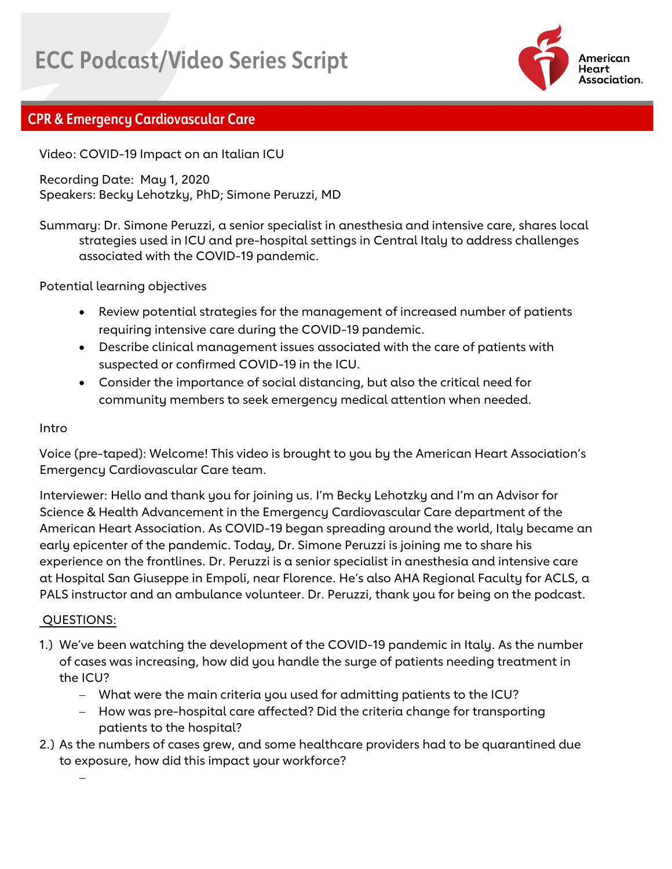# **ECC Podcast/Video Series Script**



## **CPR & Emergency Cardiovascular Care**

Video: COVID-19 Impact on an Italian ICU

Recording Date: May 1, 2020 Speakers: Becky Lehotzky, PhD; Simone Peruzzi, MD

Summary: Dr. Simone Peruzzi, a senior specialist in anesthesia and intensive care, shares local strategies used in ICU and pre-hospital settings in Central Italy to address challenges associated with the COVID-19 pandemic.

Potential learning objectives

- Review potential strategies for the management of increased number of patients requiring intensive care during the COVID-19 pandemic.
- Describe clinical management issues associated with the care of patients with suspected or confirmed COVID-19 in the ICU.
- Consider the importance of social distancing, but also the critical need for community members to seek emergency medical attention when needed.

#### Intro

Voice (pre-taped): Welcome! This video is brought to you by the American Heart Association's Emergency Cardiovascular Care team.

Interviewer: Hello and thank you for joining us. I'm Becky Lehotzky and I'm an Advisor for Science & Health Advancement in the Emergency Cardiovascular Care department of the American Heart Association. As COVID-19 began spreading around the world, Italy became an early epicenter of the pandemic. Today, Dr. Simone Peruzzi is joining me to share his experience on the frontlines. Dr. Peruzzi is a senior specialist in anesthesia and intensive care at Hospital San Giuseppe in Empoli, near Florence. He's also AHA Regional Faculty for ACLS, a PALS instructor and an ambulance volunteer. Dr. Peruzzi, thank you for being on the podcast.

#### QUESTIONS:

- 1.) We've been watching the development of the COVID-19 pandemic in Italy. As the number of cases was increasing, how did you handle the surge of patients needing treatment in the ICU?
	- − What were the main criteria you used for admitting patients to the ICU?
	- − How was pre-hospital care affected? Did the criteria change for transporting patients to the hospital?
- 2.) As the numbers of cases grew, and some healthcare providers had to be quarantined due to exposure, how did this impact your workforce?

−